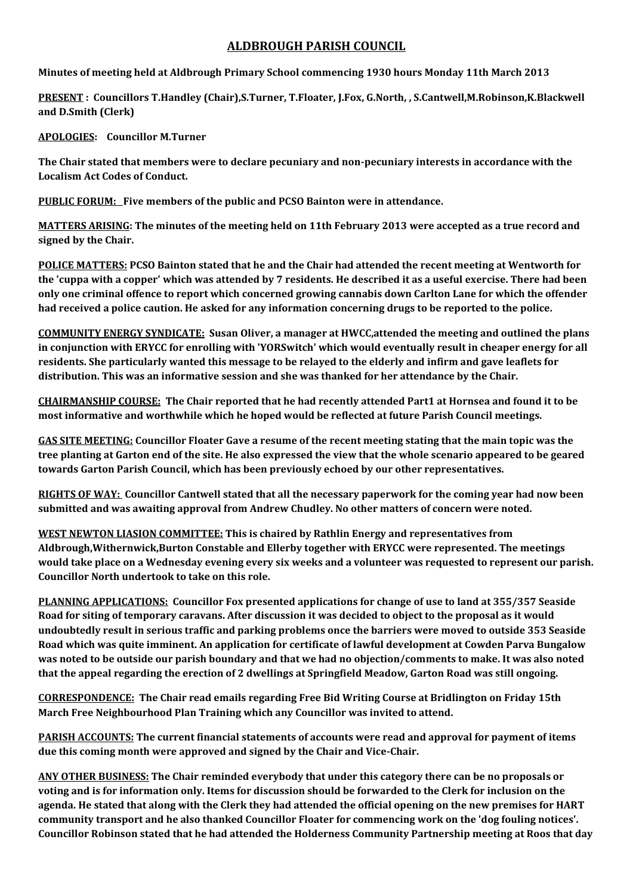## **ALDBROUGH PARISH COUNCIL**

**Minutes of meeting held at Aldbrough Primary School commencing 1930 hours Monday 11th March 2013**

**PRESENT : Councillors T.Handley (Chair),S.Turner, T.Floater, J.Fox, G.North, , S.Cantwell,M.Robinson,K.Blackwell and D.Smith (Clerk)**

**APOLOGIES: Councillor M.Turner**

**The Chair stated that members were to declare pecuniary and non-pecuniary interests in accordance with the Localism Act Codes of Conduct.**

**PUBLIC FORUM: Five members of the public and PCSO Bainton were in attendance.**

**MATTERS ARISING: The minutes of the meeting held on 11th February 2013 were accepted as a true record and signed by the Chair.**

**POLICE MATTERS: PCSO Bainton stated that he and the Chair had attended the recent meeting at Wentworth for the 'cuppa with a copper' which was attended by 7 residents. He described it as a useful exercise. There had been only one criminal offence to report which concerned growing cannabis down Carlton Lane for which the offender had received a police caution. He asked for any information concerning drugs to be reported to the police.**

**COMMUNITY ENERGY SYNDICATE: Susan Oliver, a manager at HWCC,attended the meeting and outlined the plans in conjunction with ERYCC for enrolling with 'YORSwitch' which would eventually result in cheaper energy for all residents. She particularly wanted this message to be relayed to the elderly and infirm and gave leaflets for distribution. This was an informative session and she was thanked for her attendance by the Chair.**

**CHAIRMANSHIP COURSE: The Chair reported that he had recently attended Part1 at Hornsea and found it to be most informative and worthwhile which he hoped would be reflected at future Parish Council meetings.**

**GAS SITE MEETING: Councillor Floater Gave a resume of the recent meeting stating that the main topic was the tree planting at Garton end of the site. He also expressed the view that the whole scenario appeared to be geared towards Garton Parish Council, which has been previously echoed by our other representatives.**

**RIGHTS OF WAY: Councillor Cantwell stated that all the necessary paperwork for the coming year had now been submitted and was awaiting approval from Andrew Chudley. No other matters of concern were noted.**

**WEST NEWTON LIASION COMMITTEE: This is chaired by Rathlin Energy and representatives from Aldbrough,Withernwick,Burton Constable and Ellerby together with ERYCC were represented. The meetings would take place on a Wednesday evening every six weeks and a volunteer was requested to represent our parish. Councillor North undertook to take on this role.**

**PLANNING APPLICATIONS: Councillor Fox presented applications for change of use to land at 355/357 Seaside Road for siting of temporary caravans. After discussion it was decided to object to the proposal as it would undoubtedly result in serious traffic and parking problems once the barriers were moved to outside 353 Seaside Road which was quite imminent. An application for certificate of lawful development at Cowden Parva Bungalow was noted to be outside our parish boundary and that we had no objection/comments to make. It was also noted that the appeal regarding the erection of 2 dwellings at Springfield Meadow, Garton Road was still ongoing.**

**CORRESPONDENCE: The Chair read emails regarding Free Bid Writing Course at Bridlington on Friday 15th March Free Neighbourhood Plan Training which any Councillor was invited to attend.**

**PARISH ACCOUNTS: The current financial statements of accounts were read and approval for payment of items due this coming month were approved and signed by the Chair and Vice-Chair.**

**ANY OTHER BUSINESS: The Chair reminded everybody that under this category there can be no proposals or voting and is for information only. Items for discussion should be forwarded to the Clerk for inclusion on the agenda. He stated that along with the Clerk they had attended the official opening on the new premises for HART community transport and he also thanked Councillor Floater for commencing work on the 'dog fouling notices'. Councillor Robinson stated that he had attended the Holderness Community Partnership meeting at Roos that day**